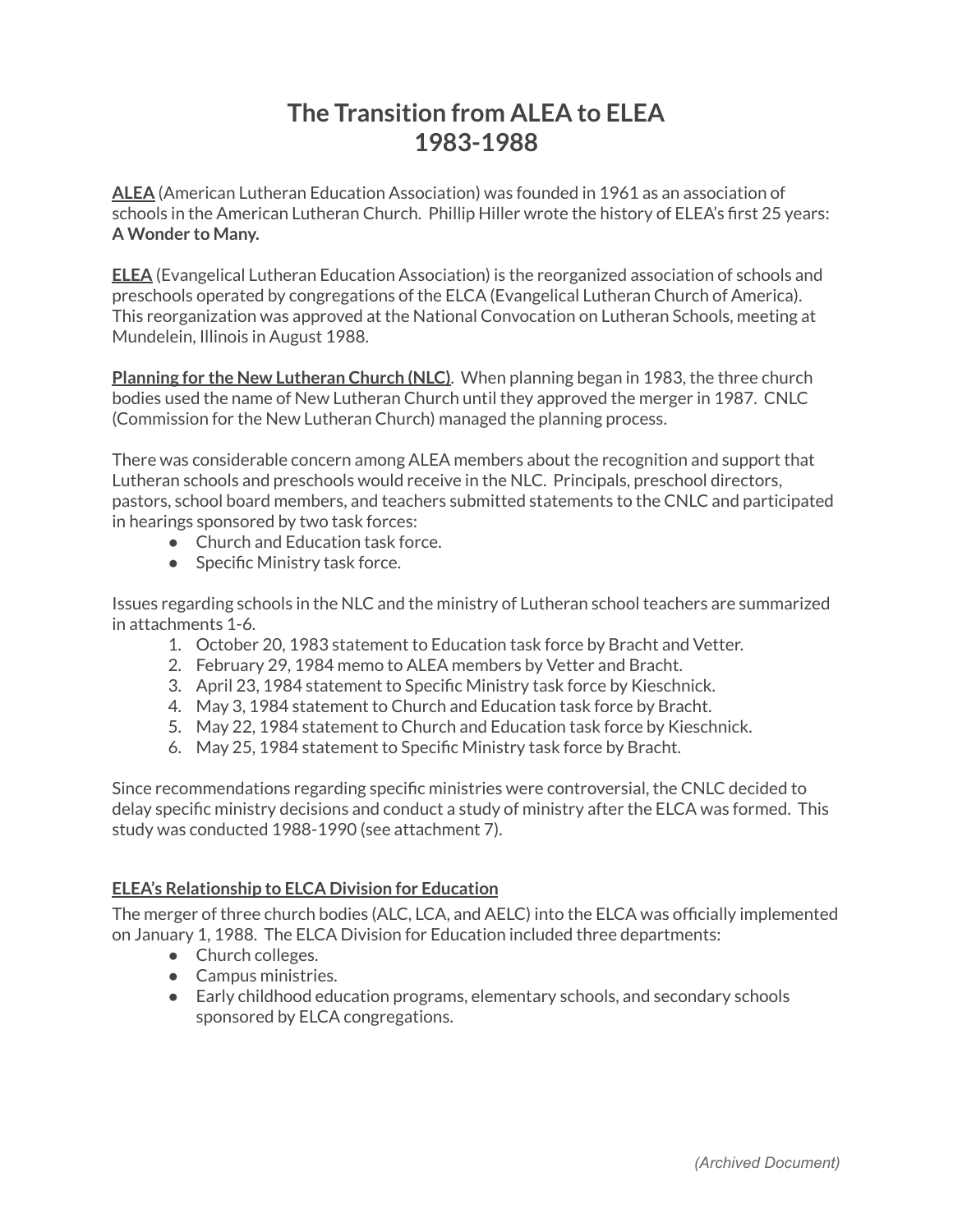## **The Transition from ALEA to ELEA 1983-1988**

**ALEA** (American Lutheran Education Association) was founded in 1961 as an association of schools in the American Lutheran Church. Phillip Hiller wrote the history of ELEA's first 25 years: **A Wonder to Many.**

**ELEA** (Evangelical Lutheran Education Association) is the reorganized association of schools and preschools operated by congregations of the ELCA (Evangelical Lutheran Church of America). This reorganization was approved at the National Convocation on Lutheran Schools, meeting at Mundelein, Illinois in August 1988.

**Planning for the New Lutheran Church (NLC)**. When planning began in 1983, the three church bodies used the name of New Lutheran Church until they approved the merger in 1987. CNLC (Commission for the New Lutheran Church) managed the planning process.

There was considerable concern among ALEA members about the recognition and support that Lutheran schools and preschools would receive in the NLC. Principals, preschool directors, pastors, school board members, and teachers submitted statements to the CNLC and participated in hearings sponsored by two task forces:

- Church and Education task force.
- Specific Ministry task force.

Issues regarding schools in the NLC and the ministry of Lutheran school teachers are summarized in attachments 1-6.

- 1. October 20, 1983 statement to Education task force by Bracht and Vetter.
- 2. February 29, 1984 memo to ALEA members by Vetter and Bracht.
- 3. April 23, 1984 statement to Specific Ministry task force by Kieschnick.
- 4. May 3, 1984 statement to Church and Education task force by Bracht.
- 5. May 22, 1984 statement to Church and Education task force by Kieschnick.
- 6. May 25, 1984 statement to Specific Ministry task force by Bracht.

Since recommendations regarding specific ministries were controversial, the CNLC decided to delay specific ministry decisions and conduct a study of ministry after the ELCA was formed. This study was conducted 1988-1990 (see attachment 7).

## **ELEA's Relationship to ELCA Division for Education**

The merger of three church bodies (ALC, LCA, and AELC) into the ELCA was officially implemented on January 1, 1988. The ELCA Division for Education included three departments:

- Church colleges.
- Campus ministries.
- Early childhood education programs, elementary schools, and secondary schools sponsored by ELCA congregations.